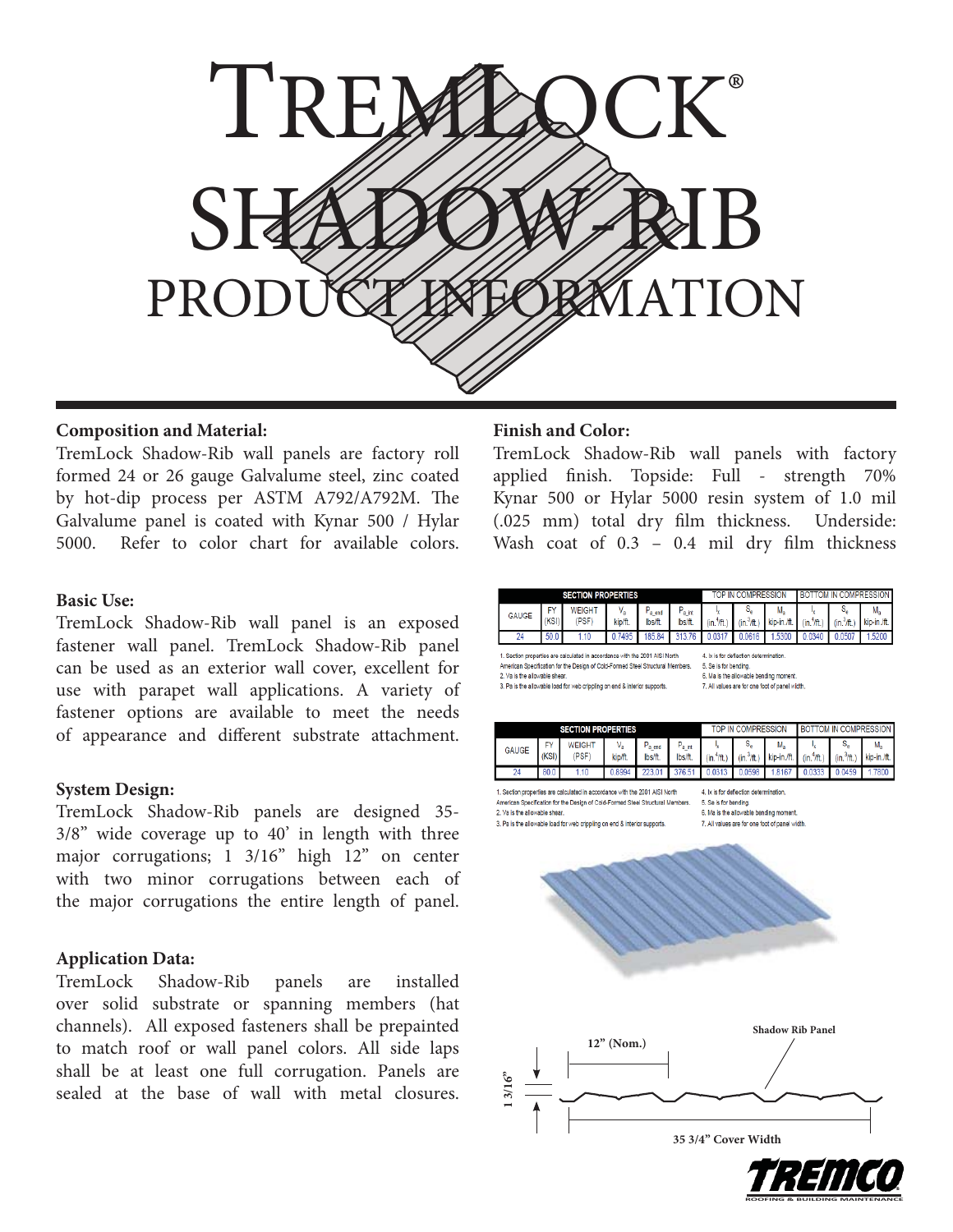

# **Composition and Material:**

TremLock Shadow-Rib wall panels are factory roll formed 24 or 26 gauge Galvalume steel, zinc coated by hot-dip process per ASTM A792/A792M. The Galvalume panel is coated with Kynar 500 / Hylar 5000. Refer to color chart for available colors.

### **Basic Use:**

TremLock Shadow-Rib wall panel is an exposed fastener wall panel. TremLock Shadow-Rib panel can be used as an exterior wall cover, excellent for use with parapet wall applications. A variety of fastener options are available to meet the needs of appearance and different substrate attachment.

### **System Design:**

TremLock Shadow-Rib panels are designed 35- 3/8" wide coverage up to 40' in length with three major corrugations; 1 3/16" high 12" on center with two minor corrugations between each of the major corrugations the entire length of panel.

# **Application Data:**

TremLock Shadow-Rib panels are installed over solid substrate or spanning members (hat channels). All exposed fasteners shall be prepainted to match roof or wall panel colors. All side laps shall be at least one full corrugation. Panels are sealed at the base of wall with metal closures.

## **Finish and Color:**

TremLock Shadow-Rib wall panels with factory applied finish. Topside: Full - strength 70% Kynar 500 or Hylar 5000 resin system of 1.0 mil (.025 mm) total dry film thickness. Underside: Wash coat of  $0.3$  –  $0.4$  mil dry film thickness

| <b>SECTION PROPERTIES</b>                                                                                  |             |                                                                                                                                                               |                       |                                |                                                                                                                                                             | TOP IN COMPRESSION                          |                     |                   | <b>BOTTOM IN COMPRESSION</b> |                     |                               |  |
|------------------------------------------------------------------------------------------------------------|-------------|---------------------------------------------------------------------------------------------------------------------------------------------------------------|-----------------------|--------------------------------|-------------------------------------------------------------------------------------------------------------------------------------------------------------|---------------------------------------------|---------------------|-------------------|------------------------------|---------------------|-------------------------------|--|
| <b>GAUGE</b>                                                                                               | FY<br>(KSI) | <b>WEIGHT</b><br>(PSF)                                                                                                                                        | $V_{\rm a}$<br>kip/ft | $P_{a \text{ end}}$<br>lbs/ft. | $P_{a int}$<br>lbs/ft.                                                                                                                                      | (in. <sup>4</sup> /ft.                      | s.<br>$(in.^3/ft.)$ | M.<br>kip-in./ft. | $(in.^4/\text{ft.})$         | s.<br>$(in.^3/ft.)$ | M <sub>a</sub><br>kip-in./ft. |  |
| 24                                                                                                         | 50.0        | 1.10                                                                                                                                                          | 0.7495                | 185.84                         | 313.76                                                                                                                                                      | 0.0317                                      | 0.0616              | .5300             | 0.0340                       | 0.0507              | .5200                         |  |
| 2. Va is the allowable shear.<br>3. Pa is the allowable load for web crippling on end & interior supports. |             | 1. Section properties are calculated in accordance with the 2001 AISI North<br>American Specification for the Design of Cold-Formed Steel Structural Members. |                       |                                | 4. Ix is for deflection determination.<br>5. Se is for bending.<br>6. Ma is the allowable bending moment.<br>7. All values are for one foot of panel width. |                                             |                     |                   |                              |                     |                               |  |
| <b>SECTION PROPERTIES</b>                                                                                  |             |                                                                                                                                                               |                       |                                |                                                                                                                                                             | BOTTOM IN COMPRESSION<br>TOP IN COMPRESSION |                     |                   |                              |                     |                               |  |

| <b>SECTION PROPERTIES</b> |              |      |     |         |                  | TOP IN COMPRESSION | <b>I BOTTOM IN COMPRESSION I</b> |                                                                                                                                 |  |        |
|---------------------------|--------------|------|-----|---------|------------------|--------------------|----------------------------------|---------------------------------------------------------------------------------------------------------------------------------|--|--------|
|                           | <b>GAUGE</b> | KSI) |     | kip/ft. | a end<br>lbs/ft. |                    |                                  | lbs/ft. (in. <sup>4</sup> /ft.) (in. <sup>3</sup> /ft.) kip-in./ft. (in. <sup>4</sup> /ft.) (in. <sup>3</sup> /ft.) kip-in./ft. |  |        |
|                           | 24           | 80.0 | 110 |         |                  |                    |                                  | 0.8994 223.01 376.51 0.0313 0.0598 1.8167 0.0333 0.0459                                                                         |  | 1.7800 |

1. Section properties are calculated in accordance with the 2001 AISI North American Specification for the Design of Cold-Formed Steel Structural Members 2. Va is the allowable shear 3. Pa is the allowable load for web crippling on end & interior supports

4. Ix is for deflection determination 5. Se is for bending. 6. Ma is the allowable bending moment 7. All values are for one foot of panel width.

**ROOFING & BUILDING MAINTENANCE**